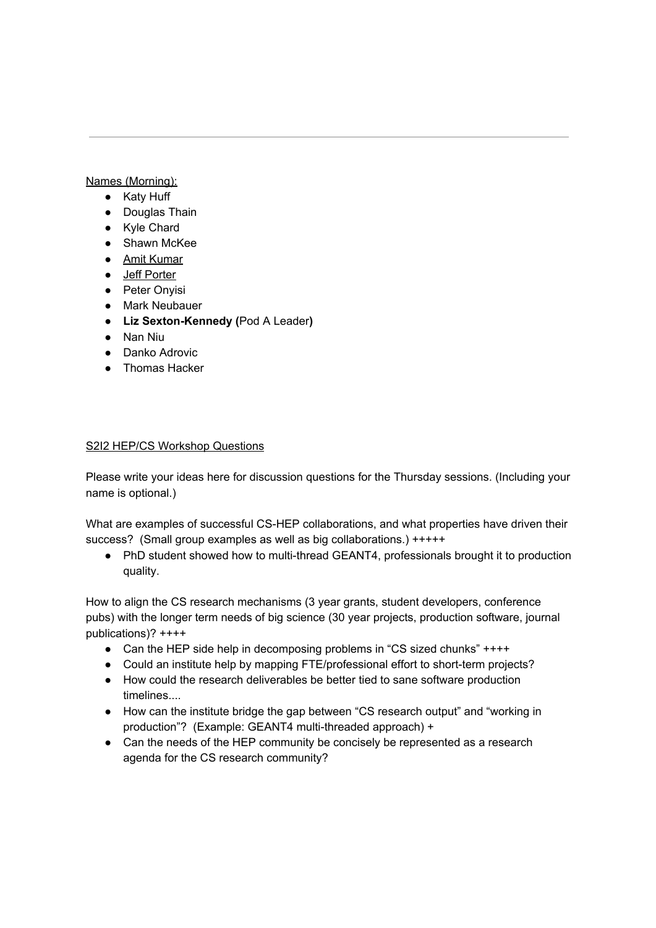## Names (Morning):

- Katy Huff
- Douglas Thain
- Kyle Chard
- Shawn McKee
- Amit Kumar
- Jeff Porter
- Peter Onyisi
- Mark Neubauer
- **● Liz Sexton-Kennedy (**Pod A Leader**)**
- Nan Niu
- Danko Adrovic
- Thomas Hacker

## S2I2 HEP/CS Workshop Questions

Please write your ideas here for discussion questions for the Thursday sessions. (Including your name is optional.)

What are examples of successful CS-HEP collaborations, and what properties have driven their success? (Small group examples as well as big collaborations.) +++++

● PhD student showed how to multi-thread GEANT4, professionals brought it to production quality.

How to align the CS research mechanisms (3 year grants, student developers, conference pubs) with the longer term needs of big science (30 year projects, production software, journal publications)? ++++

- Can the HEP side help in decomposing problems in "CS sized chunks" ++++
- Could an institute help by mapping FTE/professional effort to short-term projects?
- How could the research deliverables be better tied to sane software production timelines....
- How can the institute bridge the gap between "CS research output" and "working in production"? (Example: GEANT4 multi-threaded approach) +
- Can the needs of the HEP community be concisely be represented as a research agenda for the CS research community?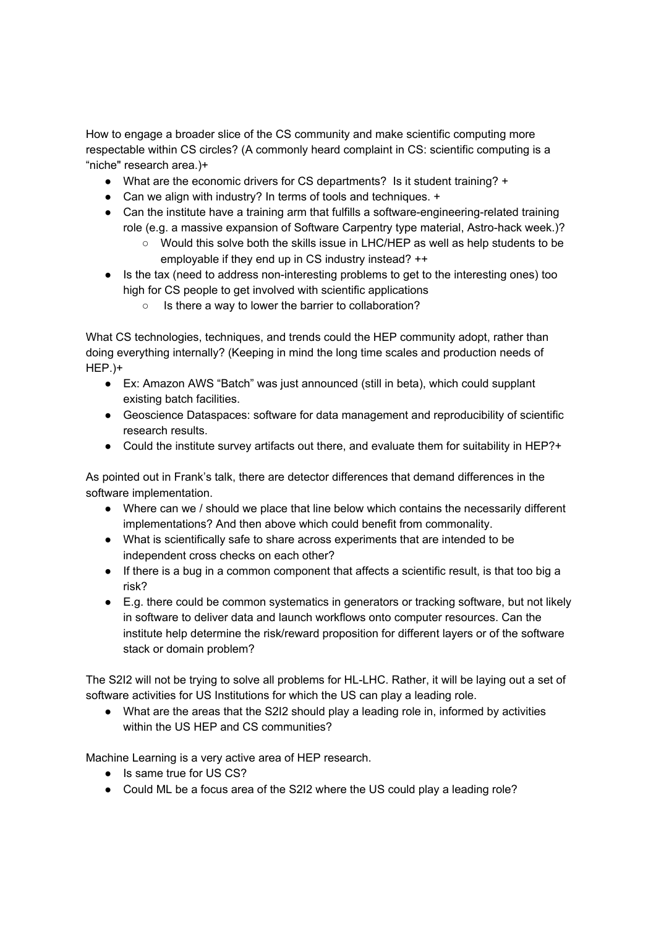How to engage a broader slice of the CS community and make scientific computing more respectable within CS circles? (A commonly heard complaint in CS: scientific computing is a "niche" research area.)+

- What are the economic drivers for CS departments? Is it student training? +
- Can we align with industry? In terms of tools and techniques. +
- Can the institute have a training arm that fulfills a software-engineering-related training role (e.g. a massive expansion of Software Carpentry type material, Astro-hack week.)?
	- Would this solve both the skills issue in LHC/HEP as well as help students to be employable if they end up in CS industry instead? ++
- Is the tax (need to address non-interesting problems to get to the interesting ones) too high for CS people to get involved with scientific applications
	- Is there a way to lower the barrier to collaboration?

What CS technologies, techniques, and trends could the HEP community adopt, rather than doing everything internally? (Keeping in mind the long time scales and production needs of HEP.)+

- Ex: Amazon AWS "Batch" was just announced (still in beta), which could supplant existing batch facilities.
- Geoscience Dataspaces: software for data management and reproducibility of scientific research results.
- Could the institute survey artifacts out there, and evaluate them for suitability in HEP?+

As pointed out in Frank's talk, there are detector differences that demand differences in the software implementation.

- Where can we / should we place that line below which contains the necessarily different implementations? And then above which could benefit from commonality.
- What is scientifically safe to share across experiments that are intended to be independent cross checks on each other?
- If there is a bug in a common component that affects a scientific result, is that too big a risk?
- E.g. there could be common systematics in generators or tracking software, but not likely in software to deliver data and launch workflows onto computer resources. Can the institute help determine the risk/reward proposition for different layers or of the software stack or domain problem?

The S2I2 will not be trying to solve all problems for HL-LHC. Rather, it will be laying out a set of software activities for US Institutions for which the US can play a leading role.

• What are the areas that the S2I2 should play a leading role in, informed by activities within the US HEP and CS communities?

Machine Learning is a very active area of HEP research.

- Is same true for US CS?
- Could ML be a focus area of the S2I2 where the US could play a leading role?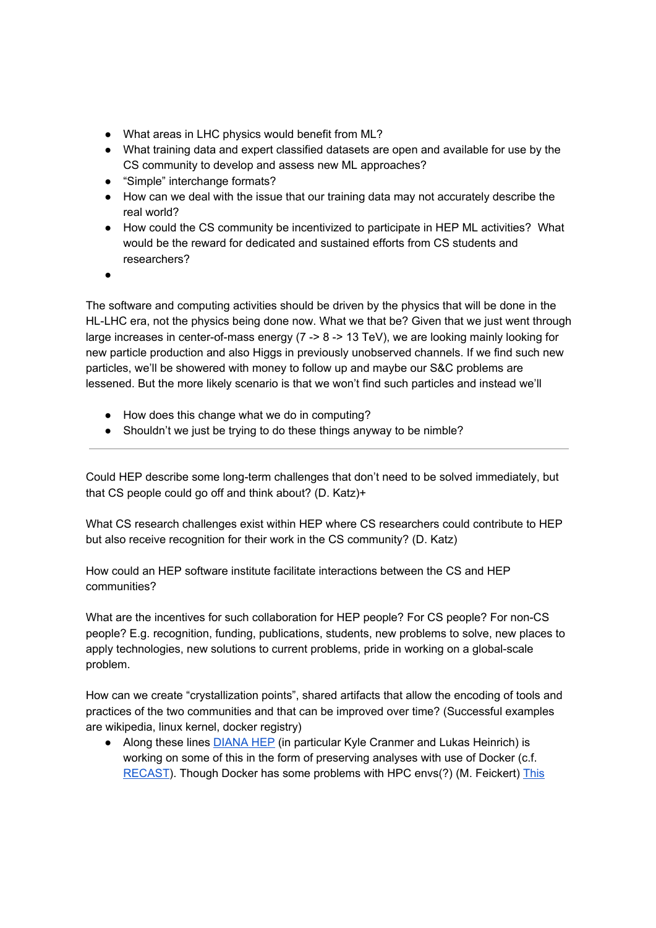- What areas in LHC physics would benefit from ML?
- What training data and expert classified datasets are open and available for use by the CS community to develop and assess new ML approaches?
- "Simple" interchange formats?
- How can we deal with the issue that our training data may not accurately describe the real world?
- How could the CS community be incentivized to participate in HEP ML activities? What would be the reward for dedicated and sustained efforts from CS students and researchers?
- **。**

The software and computing activities should be driven by the physics that will be done in the HL-LHC era, not the physics being done now. What we that be? Given that we just went through large increases in center-of-mass energy (7 -> 8 -> 13 TeV), we are looking mainly looking for new particle production and also Higgs in previously unobserved channels. If we find such new particles, we'll be showered with money to follow up and maybe our S&C problems are lessened. But the more likely scenario is that we won't find such particles and instead we'll

- How does this change what we do in computing?
- Shouldn't we just be trying to do these things anyway to be nimble?

Could HEP describe some long-term challenges that don't need to be solved immediately, but that CS people could go off and think about? (D. Katz)+

What CS research challenges exist within HEP where CS researchers could contribute to HEP but also receive recognition for their work in the CS community? (D. Katz)

How could an HEP software institute facilitate interactions between the CS and HEP communities?

What are the incentives for such collaboration for HEP people? For CS people? For non-CS people? E.g. recognition, funding, publications, students, new problems to solve, new places to apply technologies, new solutions to current problems, pride in working on a global-scale problem.

How can we create "crystallization points", shared artifacts that allow the encoding of tools and practices of the two communities and that can be improved over time? (Successful examples are wikipedia, linux kernel, docker registry)

• Along these lines DIANA HEP (in particular Kyle Cranmer and Lukas Heinrich) is working on some of this in the form of preserving analyses with use of Docker (c.f. RECAST). Though Docker has some problems with HPC envs(?) (M. Feickert) This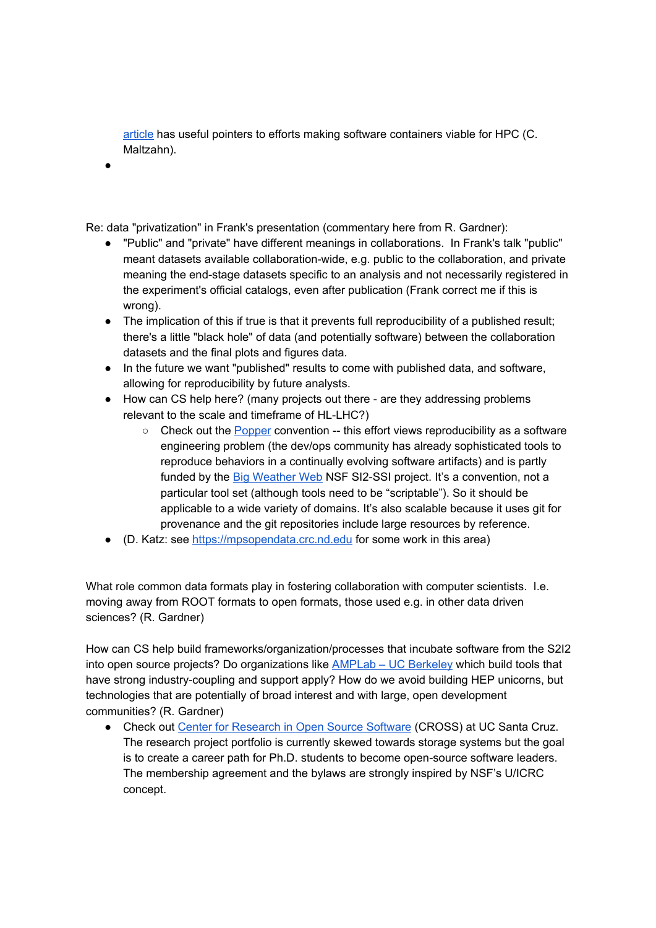article has useful pointers to efforts making software containers viable for HPC (C. Maltzahn).

●

Re: data "privatization" in Frank's presentation (commentary here from R. Gardner):

- "Public" and "private" have different meanings in collaborations. In Frank's talk "public" meant datasets available collaboration-wide, e.g. public to the collaboration, and private meaning the end-stage datasets specific to an analysis and not necessarily registered in the experiment's official catalogs, even after publication (Frank correct me if this is wrong).
- The implication of this if true is that it prevents full reproducibility of a published result; there's a little "black hole" of data (and potentially software) between the collaboration datasets and the final plots and figures data.
- In the future we want "published" results to come with published data, and software, allowing for reproducibility by future analysts.
- How can CS help here? (many projects out there are they addressing problems relevant to the scale and timeframe of HL-LHC?)
	- $\circ$  Check out the Popper convention -- this effort views reproducibility as a software engineering problem (the dev/ops community has already sophisticated tools to reproduce behaviors in a continually evolving software artifacts) and is partly funded by the Big Weather Web NSF SI2-SSI project. It's a convention, not a particular tool set (although tools need to be "scriptable"). So it should be applicable to a wide variety of domains. It's also scalable because it uses git for provenance and the git repositories include large resources by reference.
- (D. Katz: see https://mpsopendata.crc.nd.edu for some work in this area)

What role common data formats play in fostering collaboration with computer scientists. I.e. moving away from ROOT formats to open formats, those used e.g. in other data driven sciences? (R. Gardner)

How can CS help build frameworks/organization/processes that incubate software from the S2I2 into open source projects? Do organizations like AMPLab – UC Berkeley which build tools that have strong industry-coupling and support apply? How do we avoid building HEP unicorns, but technologies that are potentially of broad interest and with large, open development communities? (R. Gardner)

● Check out Center for Research in Open Source Software (CROSS) at UC Santa Cruz. The research project portfolio is currently skewed towards storage systems but the goal is to create a career path for Ph.D. students to become open-source software leaders. The membership agreement and the bylaws are strongly inspired by NSF's U/ICRC concept.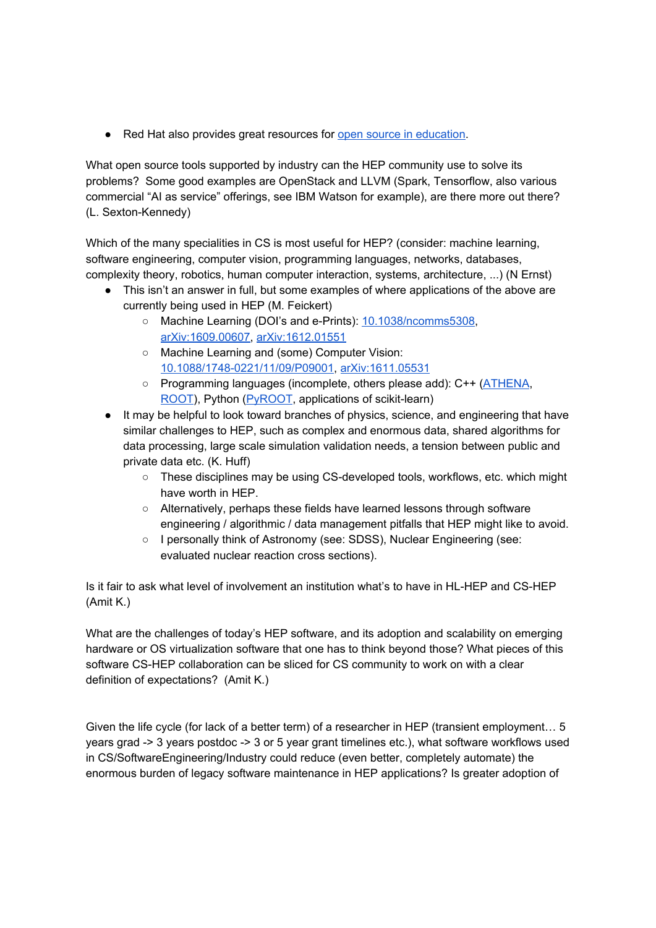● Red Hat also provides great resources for open source in education.

What open source tools supported by industry can the HEP community use to solve its problems? Some good examples are OpenStack and LLVM (Spark, Tensorflow, also various commercial "AI as service" offerings, see IBM Watson for example), are there more out there? (L. Sexton-Kennedy)

Which of the many specialities in CS is most useful for HEP? (consider: machine learning, software engineering, computer vision, programming languages, networks, databases, complexity theory, robotics, human computer interaction, systems, architecture, ...) (N Ernst)

- This isn't an answer in full, but some examples of where applications of the above are currently being used in HEP (M. Feickert)
	- Machine Learning (DOI's and e-Prints): 10.1038/ncomms5308, arXiv:1609.00607, arXiv:1612.01551
	- Machine Learning and (some) Computer Vision: 10.1088/1748-0221/11/09/P09001, arXiv:1611.05531
	- Programming languages (incomplete, others please add): C++ (ATHENA, ROOT), Python (PyROOT, applications of scikit-learn)
- It may be helpful to look toward branches of physics, science, and engineering that have similar challenges to HEP, such as complex and enormous data, shared algorithms for data processing, large scale simulation validation needs, a tension between public and private data etc. (K. Huff)
	- These disciplines may be using CS-developed tools, workflows, etc. which might have worth in HEP.
	- Alternatively, perhaps these fields have learned lessons through software engineering / algorithmic / data management pitfalls that HEP might like to avoid.
	- I personally think of Astronomy (see: SDSS), Nuclear Engineering (see: evaluated nuclear reaction cross sections).

Is it fair to ask what level of involvement an institution what's to have in HL-HEP and CS-HEP (Amit K.)

What are the challenges of today's HEP software, and its adoption and scalability on emerging hardware or OS virtualization software that one has to think beyond those? What pieces of this software CS-HEP collaboration can be sliced for CS community to work on with a clear definition of expectations? (Amit K.)

Given the life cycle (for lack of a better term) of a researcher in HEP (transient employment… 5 years grad -> 3 years postdoc -> 3 or 5 year grant timelines etc.), what software workflows used in CS/SoftwareEngineering/Industry could reduce (even better, completely automate) the enormous burden of legacy software maintenance in HEP applications? Is greater adoption of